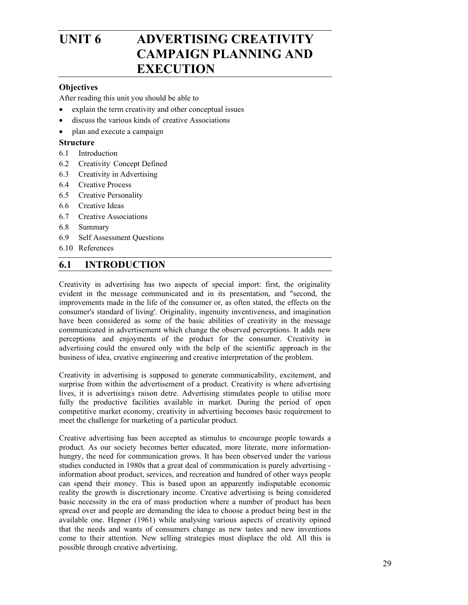# UNIT 6 ADVERTISING CREATIVITY **CAMPAIGN PLANNING AND EXECUTION**

### **Objectives**

After reading this unit you should be able to

- explain the term creativity and other conceptual issues
- discuss the various kinds of creative Associations
- plan and execute a campaign

#### **Structure**

- 6.1 Introduction
- 6.2 Creativity. Concept Defined
- 6.3 Creativity in Advertising
- 6.4 Creative Process
- 6.5 Creative Personality
- 6.6 Creative Ideas
- 6.7 Creative Associations
- 6.8 Summary
- 6.9 Self Assessment Questions
- 6.10 References

# **6.1 INTRODUCTION**

Creativity in advertising has two aspects of special import: first, the originality evident in the message communicated and in its presentation, and "second, the improvements made in the life of the consumer or, as often stated, the effects on the consumer's standard of living'. Originality, ingenuity inventiveness, and imagination have been considered as some of the basic abilities of creativity in the message communicated in advertisement which change the observed perceptions. It adds new perceptions, and enjoyments of the product for the consumer. Creativity in advertising could the ensured only with the help of the scientific. approach in the business of idea, creative engineering and creative interpretation of the problem.

Creativity in advertising is supposed to generate communicability, excitement, and surprise from within the advertisement of a product. Creativity is where advertising lives, it is advertising's raison detre. Advertising stimulates people to utilise more fully the productive facilities available in market. During the period of open competitive market economy, creativity in advertising becomes basic requirement to meet the challenge for marketing of a particular product.

Creative advertising has been accepted as stimulus to encourage people towards a product. As our society becomes better educated, more literate, more informationhungry, the need for communication grows. It has been observed under the various studies conducted in 1980s that a great deal of communication is purely advertising information about product, services, and recreation and hundred of other ways people can spend their money. This is based upon an apparently indisputable economic reality the growth is discretionary income. Creative advertising is being considered basic necessity in the era of mass production where a number of product has been spread over and people are demanding the idea to choose a product being best in the available one. Hepner (1961) while analysing various aspects of creativity opined that the needs and wants of consumers change as new tastes and new inventions come to their attention. New selling strategies must displace the old. All this is possible through creative advertising.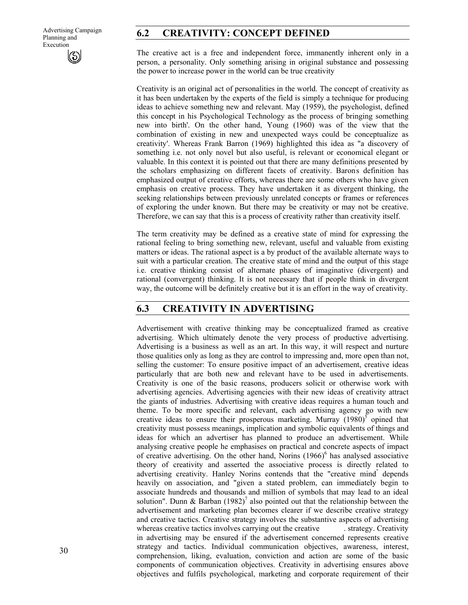# **6.2 CREATIVITY: CONCEPT DEFINED**

The creative act is a free and independent force, immanently inherent only in a person, a personality. Only something arising in original substance and possessing the power to increase power in the world can be true creativity

Creativity is an original act of personalities in the world. The concept of creativity as it has been undertaken by the experts of the field is simply a technique for producing ideas to achieve something new and relevant. May (1959), the psychologist, defined this concept in his Psychological Technology as the process of bringing something new into birth'. On the other hand, Young (1960) was of the view that the combination of existing in new and unexpected ways could be conceptualize as creativity'. Whereas Frank Barron (1969) highlighted this idea as "a discovery of something i.e. not only novel but also useful, is relevant or economical elegant or valuable. In this context it is pointed out that there are many definitions presented by the scholars emphasizing on different facets of creativity. Baron' s definition has emphasized output of creative efforts, whereas there are some others who have given emphasis on creative process. They have undertaken it as divergent thinking, the seeking relationships between previously unrelated concepts or frames or references of exploring the under known. But there may be creativity or may not be creative. Therefore, we can say that this is a process of creativity rather than creativity itself.

The term creativity may be defined as a creative state of mind for expressing the rational feeling to bring something new, relevant, useful and valuable from existing matters or ideas. The rational aspect is a by product of the available alternate ways to suit with a particular creation. The creative state of mind and the output of this stage i.e. creative thinking consist of alternate phases of imaginative (divergent) and rational (convergent) thinking. It is not necessary that if people think in divergent way, the outcome will be definitely creative but it is an effort in the way of creativity.

# **6.3 CREATIVITY IN ADVERTISING**

Advertisement with creative thinking may be conceptualized framed as creative advertising. Which ultimately denote the very process of productive advertising. Advertising is a business as well as an art. In this way, it will respect and nurture those qualities only as long as they are control to impressing and, more open than not, selling the customer: To ensure positive impact of an advertisement, creative ideas particularly that are both new and relevant have to be used in advertisements. Creativity is one of the basic reasons, producers solicit or otherwise work with advertising agencies. Advertising agencies with their new ideas of creativity attract the giants of industries. Advertising with creative ideas requires a human touch and theme. To be more specific and relevant, each advertising agency go with new creative ideas to ensure their prosperous marketing. Murray  $(1980)^5$  opined that creativity must possess meanings, implication and symbolic equivalents of things and ideas for which an advertiser has planned to produce an advertisement. While analysing creative people he emphasises on practical and concrete aspects of impact of creative advertising. On the other hand, Norins  $(1966)^6$  has analysed associative theory of creativity and asserted the associative process is directly related to advertising creativity. Hanley Norins contends that the "creative mind" depends heavily on association, and "given a stated problem, can immediately begin to associate hundreds and thousands and million of symbols that may lead to an ideal solution". Dunn & Barban (1982)<sup>7</sup> also pointed out that the relationship between the advertisement and marketing plan becomes clearer if we describe creative strategy and creative tactics. Creative strategy involves the substantive aspects of advertising whereas creative tactics involves carrying out the creative strategy. Creativity in advertising may be ensured if the advertisement concerned represents creative strategy and tactics. Individual communication objectives, awareness, interest, comprehension, liking, evaluation, conviction and action are some of the basic components of communication objectives. Creativity in advertising ensures above objectives and fulfils psychological, marketing and corporate requirement of their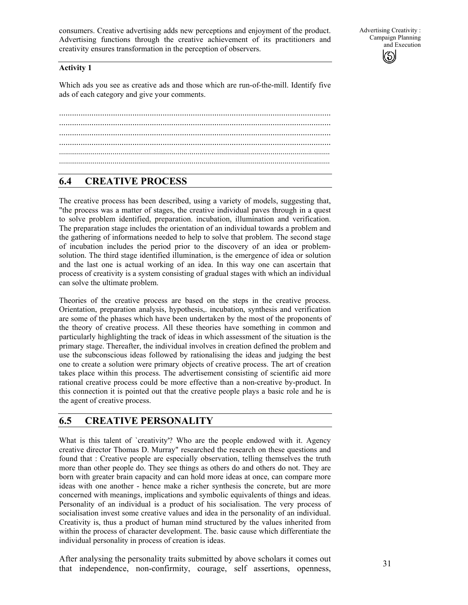consumers. Creative advertising adds new perceptions and enjoyment of the product. Advertising functions through the creative achievement of its practitioners and creativity ensures transformation in the perception of observers.

Advertising Creativity : Campaign Planning and Execution  $\left(\mathcal{S}\right)$ 

#### **Activity 1**

Which ads you see as creative ads and those which are run-of-the-mill. Identify five ads of each category and give your comments.

.............................................................................................................................. .............................................................................................................................. .............................................................................................................................. ......................................................................................................................................... .........................................................................................................................................

# **6.4 CREATIVE PROCESS**

The creative process has been described, using a variety of models, suggesting that, "the process was a matter of stages, the creative individual paves through in a quest to solve problem identified, preparation. incubation, illumination and verification. The preparation stage includes the orientation of an individual towards a problem and the gathering of informations needed to help to solve that problem. The second stage of incubation includes the period prior to the discovery of an idea or problemsolution. The third stage identified illumination, is the emergence of idea or solution and the last one is actual working of an idea. In this way one can ascertain that process of creativity is a system consisting of gradual stages with which an individual can solve the ultimate problem.

Theories of the creative process are based on the steps in the creative process. Orientation, preparation analysis, hypothesis,. incubation, synthesis and verification are some of the phases which have been undertaken by the most of the proponents of the theory of creative process. All these theories have something in common and particularly highlighting the track of ideas in which assessment of the situation is the primary stage. Thereafter, the individual involves in creation defined the problem and use the subconscious ideas followed by rationalising the ideas and judging the best one to create a solution were primary objects of creative process. The art of creation takes place within this process. The advertisement consisting of scientific aid more rational creative process could be more effective than a non-creative by-product. In this connection it is pointed out that the creative people plays a basic role and he is the agent of creative process.

# **6.5 CREATIVE PERSONALITY**

What is this talent of `creativity'? Who are the people endowed with it. Agency creative director Thomas D. Murray" researched the research on these questions and found that : Creative people are especially observation, telling themselves the truth more than other people do. They see things as others do and others do not. They are born with greater brain capacity and can hold more ideas at once, can compare more ideas with one another - hence make a richer synthesis the concrete, but are more concerned with meanings, implications and symbolic equivalents of things and ideas. Personality of an individual is a product of his socialisation. The very process of socialisation invest some creative values and idea in the personality of an individual. Creativity is, thus a product of human mind structured by the values inherited from within the process of character development. The. basic cause which differentiate the individual personality in process of creation is ideas.

After analysing the personality traits submitted by above scholars it comes out that independence, non-confirmity, courage, self assertions, openness,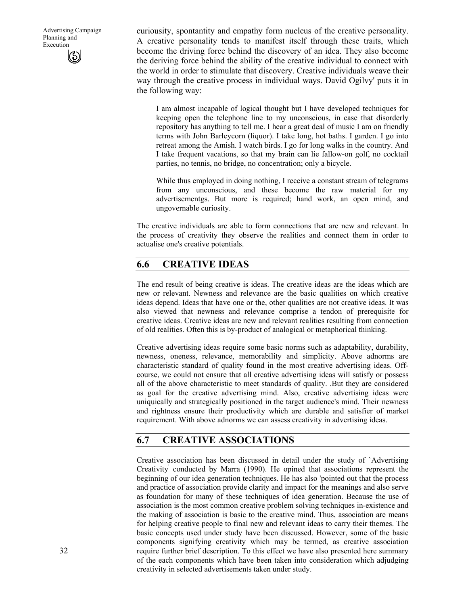Advertising Campaign Planning and Execution

curiousity, spontantity and empathy form nucleus of the creative personality. A creative personality tends to manifest itself through these traits, which become the driving force behind the discovery of an idea. They also become the deriving force behind the ability of the creative individual to connect with the world in order to stimulate that discovery. Creative individuals weave their way through the creative process in individual ways. David Ogilvy' puts it in the following way:

I am almost incapable of logical thought but I have developed techniques for keeping open the telephone line to my unconscious, in case that disorderly repository has anything to tell me. I hear a great deal of music I am on friendly terms with John Barleycorn (liquor). I take long, hot baths. I garden. I go into retreat among the Amish. I watch birds. I go for long walks in the country. And I take frequent vacations, so that my brain can lie fallow-on golf, no cocktail parties, no tennis, no bridge, no concentration; only a bicycle.

While thus employed in doing nothing, I receive a constant stream of telegrams from any unconscious, and these become the raw material for my advertisementgs. But more is required; hand work, an open mind, and ungovernable curiosity.

The creative individuals are able to form connections that are new and relevant. In the process of creativity they observe the realities and connect them in order to actualise one's creative potentials.

# **6.6 CREATIVE IDEAS**

The end result of being creative is ideas. The creative ideas are the ideas which are new or relevant. Newness and relevance are the basic qualities on which creative ideas depend. Ideas that have one or the, other qualities are not creative ideas. It was also viewed that newness and relevance comprise a tendon of prerequisite for creative ideas. Creative ideas are new and relevant realities resulting from connection of old realities. Often this is by-product of analogical or metaphorical thinking.

Creative advertising ideas require some basic norms such as adaptability, durability, newness, oneness, relevance, memorability and simplicity. Above adnorms are characteristic standard of quality found in the most creative advertising ideas. Offcourse, we could not ensure that all creative advertising ideas will satisfy or possess all of the above characteristic to meet standards of quality. .But they are considered as goal for the creative advertising mind. Also, creative advertising ideas were uniquically and strategically positioned in the target audience's mind. Their newness and rightness ensure their productivity which are durable and satisfier of market requirement. With above adnorms we can assess creativity in advertising ideas.

# **6.7 CREATIVE ASSOCIATIONS**

Creative association has been discussed in detail under the study of `Advertising Creativity' conducted by Marra (1990). He opined that associations represent the beginning of our idea generation techniques. He has also 'pointed out that the process and practice of association provide clarity and impact for the meanings and also serve as foundation for many of these techniques of idea generation. Because the use of association is the most common creative problem solving techniques in-existence and the making of association is basic to the creative mind. Thus, association are means for helping creative people to final new and relevant ideas to carry their themes. The basic concepts used under study have been discussed. However, some of the basic components signifying creativity which may be termed, as creative association require further brief description. To this effect we have also presented here summary of the each components which have been taken into consideration which adjudging creativity in selected advertisements taken under study.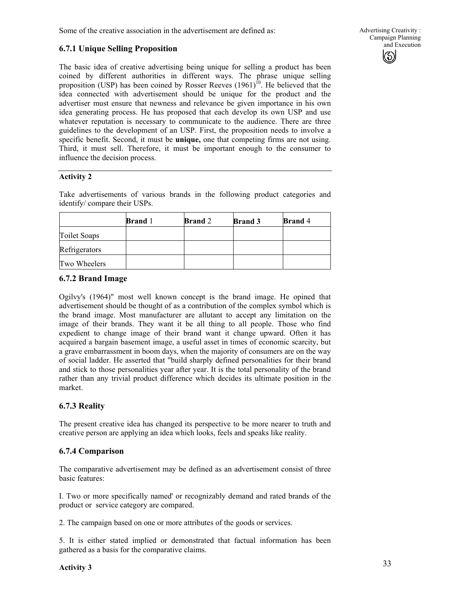Some of the creative association in the advertisement are defined as:

# **6.7.1 Unique Selling Proposition**

The basic idea of creative advertising being unique for selling a product has been coined by different authorities in different ways. The phrase unique selling proposition (USP) has been coined by Rosser Reeves  $(1961)$ <sup>10</sup>. He believed that the idea connected with advertisement should be unique for the product and the advertiser must ensure that newness and relevance be given importance in his own idea generating process. He has proposed that each develop its own USP and use whatever reputation is necessary to communicate to the audience. There are three guidelines to the development of an USP. First, the proposition needs to involve a specific benefit. Second, it must be **unique,** one that competing firms are not using. Third, it must sell. Therefore, it must be important enough to the consumer to influence the decision process.

# **Activity 2**

Take advertisements of various brands in the following product categories and identify/ compare their USPs.

|               | <b>Brand</b> 1 | <b>Brand</b> 2 | <b>Brand 3</b> | <b>Brand</b> 4 |
|---------------|----------------|----------------|----------------|----------------|
| Toilet Soaps  |                |                |                |                |
| Refrigerators |                |                |                |                |
| Two Wheelers  |                |                |                |                |

# **6.7.2 Brand Image**

Ogilvy's (1964)" most well known concept is the brand image. He opined that advertisement should be thought of as a contribution of the complex symbol which is the brand image. Most manufacturer are allutant to accept any limitation on the image of their brands. They want it be all thing to all people. Those who find expedient to change image of their brand want it change upward. Often it has acquired a bargain basement image, a useful asset in times of economic scarcity, but a grave embarrassment in boom days, when the majority of consumers are on the way of social ladder. He asserted that "build sharply defined personalities for their brand and stick to those personalities year after year. It is the total personality of the brand rather than any trivial product difference which decides its ultimate position in the market.

# **6.7.3 Reality**

The present creative idea has changed its perspective to be more nearer to truth and creative person are applying an idea which looks, feels and speaks like reality.

# **6.7.4 Comparison**

The comparative advertisement may be defined as an advertisement consist of three basic features:

I. Two or more specifically named' or recognizably demand and rated brands of the product or service category are compared.

2. The campaign based on one or more attributes of the goods or services.

5. It is either stated implied or demonstrated that factual information has been gathered as a basis for the comparative claims.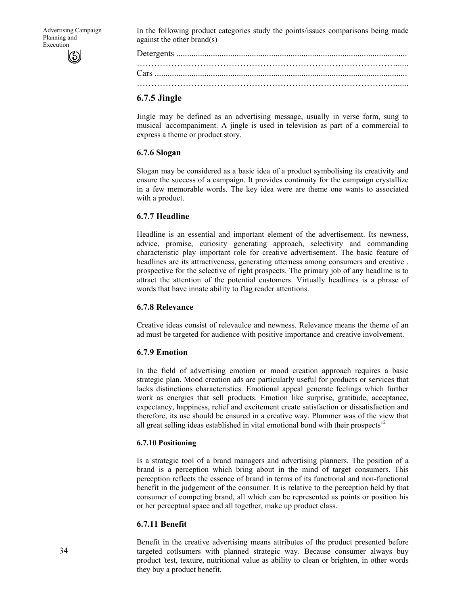In the following product categories study the points/issues comparisons being made against the other brand(s)

#### **6.7.5 Jingle**

Jingle may be defined as an advertising message, usually in verse form, sung to musical accompaniment. A jingle is used in television as part of a commercial to express a theme or product story.

#### **6.7.6 Slogan**

Slogan may be considered as a basic idea of a product symbolising its creativity and ensure the success of a campaign. It provides continuity for the campaign crystallize in a few memorable words. The key idea were are theme one wants to associated with a product.

### **6.7.7 Headline**

Headline is an essential and important element of the advertisement. Its newness, advice, promise, curiosity generating approach, selectivity and commanding characteristic play important role for creative advertisement. The basic feature of headlines are its attractiveness, generating atterness among consumers and creative . prospective for the selective of right prospects. The primary job of any headline is to attract the attention of the potential customers. Virtually headlines is a phrase of words that have innate ability to flag reader attentions.

#### **6.7.8 Relevance**

Creative ideas consist of relevaulce and newness. Relevance means the theme of an ad must be targeted for audience with positive importance and creative involvement.

# **6.7.9 Emotion**

In the field of advertising emotion or mood creation approach requires a basic strategic plan. Mood creation ads are particularly useful for products or services that lacks distinctions characteristics. Emotional appeal generate feelings which further work as energies that sell products. Emotion like surprise, gratitude, acceptance, expectancy, happiness, relief and excitement create satisfaction or dissatisfaction and therefore, its use should be ensured in a creative way. Plummer was of the view that all great selling ideas established in vital emotional bond with their prospects<sup>12</sup>

#### **6.7.10 Positioning**

Is a strategic tool of a brand managers and advertising planners. The position of a brand is a perception which bring about in the mind of target consumers. This perception reflects the essence of brand in terms of its functional and non-functional benefit in the judgement of the consumer. It is relative to the perception held by that consumer of competing brand, all which can be represented as points or position his or her perceptual space and all together, make up product class.

# **6.7.11 Benefit**

Benefit in the creative advertising means attributes of the product presented before targeted cotlsumers with planned strategic way. Because consumer always buy product 'test, texture, nutritional value as ability to clean or brighten, in other words they buy a product benefit.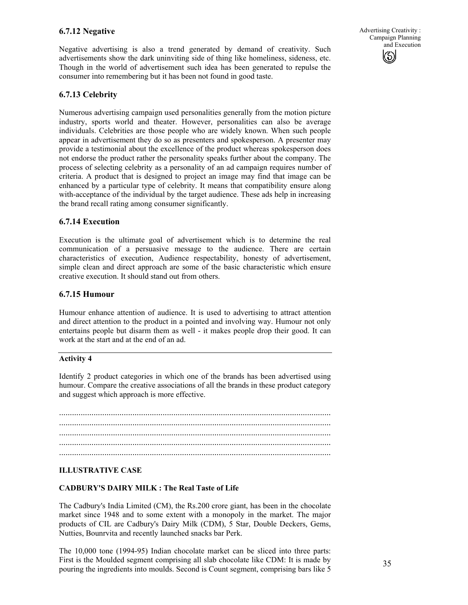# **6.7.12 Negative**

Negative advertising is also a trend generated by demand of creativity. Such advertisements show the dark uninviting side of thing like homeliness, sideness, etc. Though in the world of advertisement such idea has been generated to repulse the consumer into remembering but it has been not found in good taste.

# **6.7.13 Celebrity**

Numerous advertising campaign used personalities generally from the motion picture industry, sports world and theater. However, personalities can also be average individuals. Celebrities are those people who are widely known. When such people appear in advertisement they do so as presenters and spokesperson. A presenter may provide a testimonial about the excellence of the product whereas spokesperson does not endorse the product rather the personality speaks further about the company. The process of selecting celebrity as a personality of an ad campaign requires number of criteria. A product that is designed to project an image may find that image can be enhanced by a particular type of celebrity. It means that compatibility ensure along with-acceptance of the individual by the target audience. These ads help in increasing the brand recall rating among consumer significantly.

### **6.7.14 Execution**

Execution is the ultimate goal of advertisement which is to determine the real communication of a persuasive message to the audience. There are certain characteristics of execution, Audience respectability, honesty of advertisement, simple clean and direct approach are some of the basic characteristic which ensure creative execution. It should stand out from others.

### **6.7.15 Humour**

Humour enhance attention of audience. It is used to advertising to attract attention and direct attention to the product in a pointed and involving way. Humour not only entertains people but disarm them as well - it makes people drop their good. It can work at the start and at the end of an ad.

#### **Activity 4**

Identify 2 product categories in which one of the brands has been advertised using humour. Compare the creative associations of all the brands in these product category and suggest which approach is more effective.

.............................................................................................................................. .............................................................................................................................. .............................................................................................................................. .............................................................................................................................. ..............................................................................................................................

#### **ILLUSTRATIVE CASE**

#### **CADBURY'S DAIRY MILK : The Real Taste of Life**

The Cadbury's India Limited (CM), the Rs.200 crore giant, has been in the chocolate market since 1948 and to some extent with a monopoly in the market. The major products of CIL are Cadbury's Dairy Milk (CDM), 5 Star, Double Deckers, Gems, Nutties, Bounrvita and recently launched snacks bar Perk.

The 10,000 tone (1994-95) Indian chocolate market can be sliced into three parts: First is the Moulded segment comprising all slab chocolate like CDM: It is made by pouring the ingredients into moulds. Second is Count segment, comprising bars like 5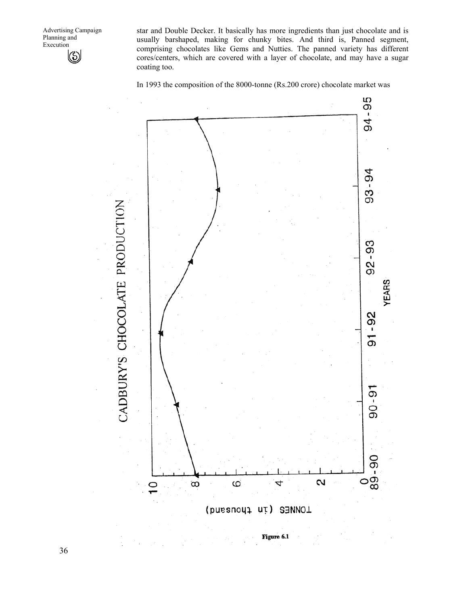Advertising Campaign Planning and Execution  $\circledS$ 

star and Double Decker. It basically has more ingredients than just chocolate and is usually barshaped, making for chunky bites. And third is, Panned segment, comprising chocolates like Gems and Nutties. The panned variety has different cores/centers, which are covered with a layer of chocolate, and may have a sugar coating too.

In 1993 the composition of the 8000-tonne (Rs.200 crore) chocolate market was



Figure 6.1

36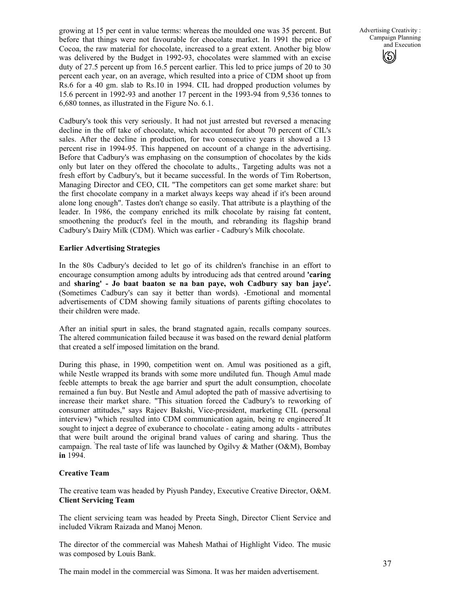growing at 15 per cent in value terms: whereas the moulded one was 35 percent. But before that things were not favourable for chocolate market. In 1991 the price of Cocoa, the raw material for chocolate, increased to a great extent. Another big blow was delivered by the Budget in 1992-93, chocolates were slammed with an excise duty of 27.5 percent up from 16.5 percent earlier. This led to price jumps of 20 to 30 percent each year, on an average, which resulted into a price of CDM shoot up from Rs.6 for a 40 gm. slab to Rs.10 in 1994. CIL had dropped production volumes by 15.6 percent in 1992-93 and another 17 percent in the 1993-94 from 9,536 tonnes to 6,680 tonnes, as illustrated in the Figure No. 6.1.

Cadbury's took this very seriously. It had not just arrested but reversed a menacing decline in the off take of chocolate, which accounted for about 70 percent of CIL's sales. After the decline in production, for two consecutive years it showed a 13 percent rise in 1994-95. This happened on account of a change in the advertising. Before that Cadbury's was emphasing on the consumption of chocolates by the kids only but later on they offered the chocolate to adults., Targeting adults was not a fresh effort by Cadbury's, but it became successful. In the words of Tim Robertson, Managing Director and CEO, CIL "The competitors can get some market share: but the first chocolate company in a market always keeps way ahead if it's been around alone long enough". Tastes don't change so easily. That attribute is a plaything of the leader. In 1986, the company enriched its milk chocolate by raising fat content, smoothening the product's feel in the mouth, and rebranding its flagship brand Cadbury's Dairy Milk (CDM). Which was earlier - Cadbury's Milk chocolate.

#### **Earlier Advertising Strategies**

In the 80s Cadbury's decided to let go of its children's franchise in an effort to encourage consumption among adults by introducing ads that centred around **'caring**  and **sharing' - Jo baat baaton se na ban paye, woh Cadbury say ban jaye'.**  (Sometimes Cadbury's can say it better than words). -Emotional and momental advertisements of CDM showing family situations of parents gifting chocolates to their children were made.

After an initial spurt in sales, the brand stagnated again, recalls company sources. The altered communication failed because it was based on the reward denial platform that created a self imposed limitation on the brand.

During this phase, in 1990, competition went on. Amul was positioned as a gift, while Nestle wrapped its brands with some more undiluted fun. Though Amul made feeble attempts to break the age barrier and spurt the adult consumption, chocolate remained a fun buy. But Nestle and Amul adopted the path of massive advertising to increase their market share. "This situation forced the Cadbury's to reworking of consumer attitudes," says Rajeev Bakshi, Vice-president, marketing CIL (personal interview) "which resulted into CDM communication again, being re engineered" .It sought to inject a degree of exuberance to chocolate - eating among adults - attributes that were built around the original brand values of caring and sharing. Thus the campaign. The real taste of life was launched by Ogilvy & Mather (O&M), Bombay **in** 1994.

# **Creative Team**

The creative team was headed by Piyush Pandey, Executive Creative Director, O&M. **Client Servicing Team** 

The client servicing team was headed by Preeta Singh, Director Client Service and included Vikram Raizada and Manoj Menon.

The director of the commercial was Mahesh Mathai of Highlight Video. The music was composed by Louis Bank.

The main model in the commercial was Simona. It was her maiden advertisement.

Advertising Creativity : Campaign Planning and Execution (မ)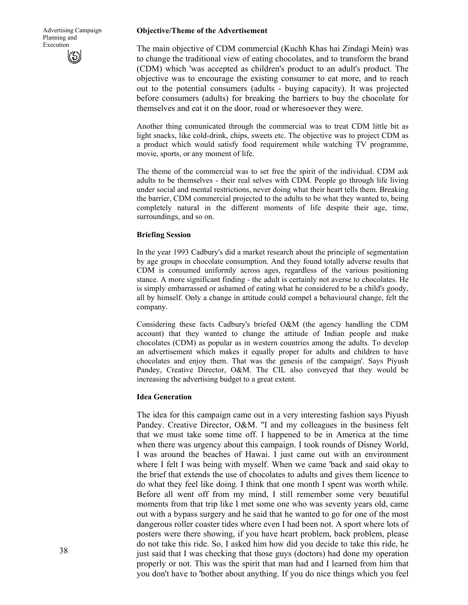#### **Objective/Theme of the Advertisement**

The main objective of CDM commercial (Kuchh Khas hai Zindagi Mein) was to change the traditional view of eating chocolates, and to transform the brand (CDM) which 'was accepted as children's product to an adult's product. The objective was to encourage the existing consumer to eat more, and to reach out to the potential consumers (adults - buying capacity). It was projected before consumers (adults) for breaking the barriers to buy the chocolate for themselves and eat it on the door, road or wheresoever they were.

Another thing comunicated through the commercial was to treat CDM little bit as light snacks, like cold-drink, chips, sweets etc. The objective was to project CDM as a product which would satisfy food requirement while watching TV programme, movie, sports, or any moment of life.

The theme of the commercial was to set free the spirit of the individual. CDM ask adults to be themselves - their real selves with CDM. People go through life living under social and mental restrictions, never doing what their heart tells them. Breaking the barrier, CDM commercial projected to the adults to be what they wanted to, being completely natural in the different moments of life despite their age, time, surroundings, and so on.

#### **Briefing Session**

In the year 1993 Cadbury's did a market research about the principle of segmentation by age groups in chocolate consumption. And they found totally adverse results that CDM is consumed uniformly across ages, regardless of the various positioning stance. A more significant finding - the adult is certainly not averse to chocolates. He is simply embarrassed or ashamed of eating what he considered to be a child's goody, all by himself. Only a change in attitude could compel a behavioural change, felt the company.

Considering these facts Cadbury's briefed O&M (the agency handling the CDM account) that they wanted to change the attitude of Indian people and make chocolates (CDM) as popular as in western countries among the adults. To develop an advertisement which makes it equally proper for adults and children to have chocolates and enjoy them. That was the genesis of the campaign'. Says Piyush Pandey, Creative Director, O&M. The CIL also conveyed that they would be increasing the advertising budget to a great extent.

#### **Idea Generation**

The idea for this campaign came out in a very interesting fashion says Piyush Pandey. Creative Director, O&M. "I and my colleagues in the business felt that we must take some time off. I happened to be in America at the time when there was urgency about this campaign. I took rounds of Disney World, I was around the beaches of Hawai. I just came out with an environment where I felt I was being with myself. When we came 'back and said okay to the brief that extends the use of chocolates to adults and gives them licence to do what they feel like doing. I think that one month I spent was worth while. Before all went off from my mind, I still remember some very beautiful moments from that trip like I met some one who was seventy years old, came out with a bypass surgery and he said that he wanted to go for one of the most dangerous roller coaster tides where even I had been not. A sport where lots of posters were there showing, if you have heart problem, back problem, please do not take this ride. So, I asked him how did you decide to take this ride, he just said that I was checking that those guys (doctors) had done my operation properly or not. This was the spirit that man had and I learned from him that you don't have to 'bother about anything. If you do nice things which you feel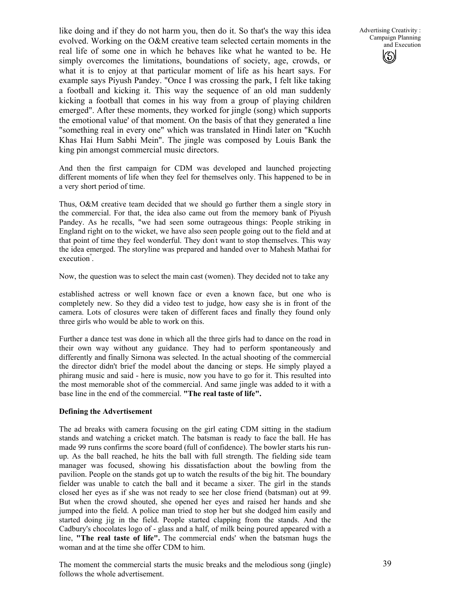like doing and if they do not harm you, then do it. So that's the way this idea evolved. Working on the O&M creative team selected certain moments in the real life of some one in which he behaves like what he wanted to be. He simply overcomes the limitations, boundations of society, age, crowds, or what it is to enjoy at that particular moment of life as his heart says. For example says Piyush Pandey. "Once I was crossing the park, I felt like taking a football and kicking it. This way the sequence of an old man suddenly kicking a football that comes in his way from a group of playing children emerged". After these moments, they worked for jingle (song) which supports the emotional value' of that moment. On the basis of that they generated a line "something real in every one" which was translated in Hindi later on "Kuchh Khas Hai Hum Sabhi Mein". The jingle was composed by Louis Bank the king pin amongst commercial music directors.

And then the first campaign for CDM was developed and launched projecting different moments of life when they feel for themselves only. This happened to be in a very short period of time.

Thus, O&M creative team decided that we should go further them a single story in the commercial. For that, the idea also came out from the memory bank of Piyush Pandey. As he recalls, "we had seen some outrageous things: People striking in England right on to the wicket, we have also seen people going out to the field and at that point of time they feel wonderful. They don't want to stop themselves. This way the idea emerged. The storyline was prepared and handed over to Mahesh Mathai for execution" .

Now, the question was to select the main cast (women). They decided not to take any

established actress or well known face or even a known face, but one who is completely new. So they did a video test to judge, how easy she is in front of the camera. Lots of closures were taken of different faces and finally they found only three girls who would be able to work on this.

Further a dance test was done in which all the three girls had to dance on the road in their own way without any guidance. They had to perform spontaneously and differently and finally Sirnona was selected. In the actual shooting of the commercial the director didn't brief the model about the dancing or steps. He simply played a phirang music and said - here is music, now you have to go for it. This resulted into the most memorable shot of the commercial. And same jingle was added to it with a base line in the end of the commercial. **"The real taste of life".** 

#### **Defining the Advertisement**

The ad breaks with camera focusing on the girl eating CDM sitting in the stadium stands and watching a cricket match. The batsman is ready to face the ball. He has made 99 runs confirms the score board (full of confidence). The bowler starts his runup. As the ball reached, he hits the ball with full strength. The fielding side team manager was focused, showing his dissatisfaction about the bowling from the pavilion. People on the stands got up to watch the results of the big hit. The boundary fielder was unable to catch the ball and it became a sixer. The girl in the stands closed her eyes as if she was not ready to see her close friend (batsman) out at 99. But when the crowd shouted, she opened her eyes and raised her hands and she jumped into the field. A police man tried to stop her but she dodged him easily and started doing jig in the field. People started clapping from the stands. And the Cadbury's chocolates logo of - glass and a half, of milk being poured appeared with a line, **"The real taste of life".** The commercial ends' when the batsman hugs the woman and at the time she offer CDM to him.

The moment the commercial starts the music breaks and the melodious song (jingle) follows the whole advertisement.

Advertising Creativity : Campaign Planning and Execution (မ)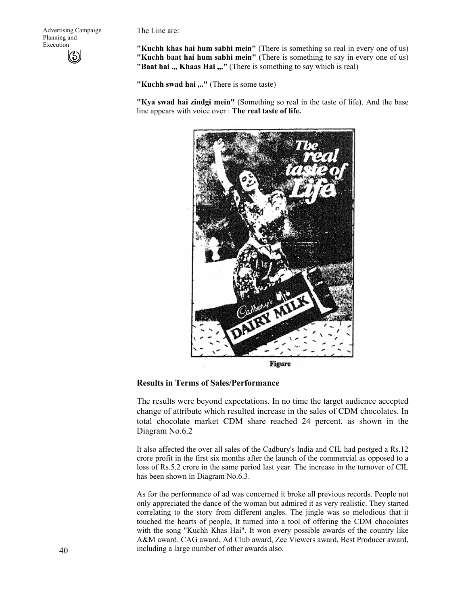Advertising Campaign Planning and Execution

The Line are:

**"Kuchh khas hai hum sabhi mein"** (There is something so real in every one of us) **"Kuchh baat hai hum sabhi mein"** (There is something to say in every one of us) **"Baat hai .,, Khaas Hai ,,."** (There is something to say which is real)

**"Kuchh swad hai ,.."** (There is some taste)

**"Kya swad hai zindgi mein"** (Something so real in the taste of life). And the base line appears with voice over : **The real taste of life.** 



**Figure** 

#### **Results in Terms of Sales/Performance**

The results were beyond expectations. In no time the target audience accepted change of attribute which resulted increase in the sales of CDM chocolates. In total chocolate market CDM share reached 24 percent, as shown in the Diagram No.6.2

It also affected the over all sales of the Cadbury's India and CIL had postged a Rs.12 crore profit in the first six months after the launch of the commercial as opposed to a loss of Rs.5.2 crore in the same period last year. The increase in the turnover of CIL has been shown in Diagram No.6.3.

As for the performance of ad was concerned it broke all previous records. People not only appreciated the dance of the woman but admired it as very realistic. They started correlating to the story from different angles. The jingle was so melodious that it touched the hearts of people, It turned into a tool of offering the CDM chocolates with the song "Kuchh Khas Hai". It won every possible awards of the country like A&M award. CAG award, Ad Club award, Zee Viewers award, Best Producer award, including a large number of other awards also.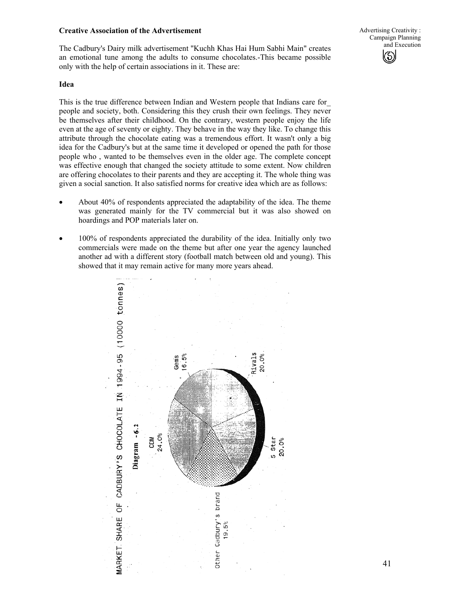#### **Creative Association of the Advertisement**

The Cadbury's Dairy milk advertisement "Kuchh Khas Hai Hum Sabhi Main" creates an emotional tune among the adults to consume chocolates.-This became possible only with the help of certain associations in it. These are:

#### Advertising Creativity : Campaign Planning and Execution  $\circledS$

#### **Idea**

This is the true difference between Indian and Western people that Indians care for\_ people and society, both. Considering this they crush their own feelings. They never be themselves after their childhood. On the contrary, western people enjoy the life even at the age of seventy or eighty. They behave in the way they like. To change this attribute through the chocolate eating was a tremendous effort. It wasn't only a big idea for the Cadbury's but at the same time it developed or opened the path for those people who , wanted to be themselves even in the older age. The complete concept was effective enough that changed the society attitude to some extent. Now children are offering chocolates to their parents and they are accepting it. The whole thing was given a social sanction. It also satisfied norms for creative idea which are as follows:

- About 40% of respondents appreciated the adaptability of the idea. The theme was generated mainly for the TV commercial but it was also showed on hoardings and POP materials later on.
- 100% of respondents appreciated the durability of the idea. Initially only two commercials were made on the theme but after one year the agency launched another ad with a different story (football match between old and young). This showed that it may remain active for many more years ahead.

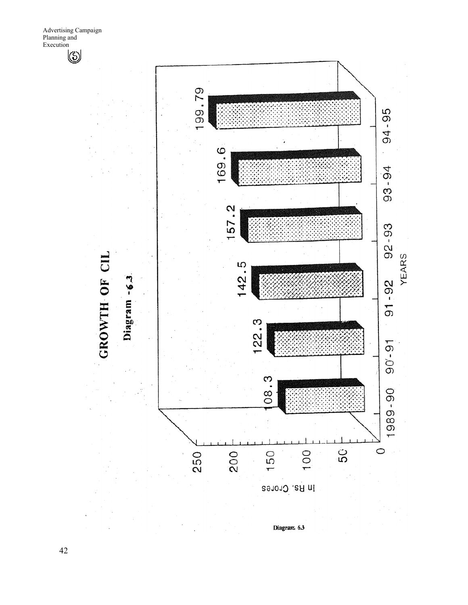

42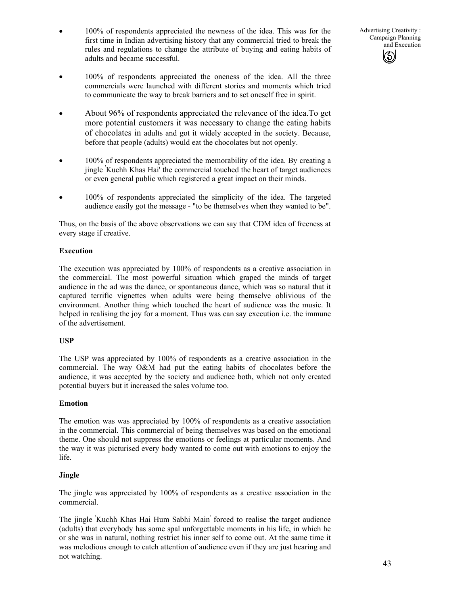• 100% of respondents appreciated the newness of the idea. This was for the first time in Indian advertising history that any commercial tried to break the rules and regulations to change the attribute of buying and eating habits of adults and became successful.

Advertising Creativity : Campaign Planning and Execution (မ)

- 100% of respondents appreciated the oneness of the idea. All the three commercials were launched with different stories and moments which tried to communicate the way to break barriers and to set oneself free in spirit.
- About 96% of respondents appreciated the relevance of the idea. To get more potential customers it was necessary to change the eating habits of chocolates in adults and got it widely accepted in the society. Because, before that people (adults) would eat the chocolates but not openly.
- 100% of respondents appreciated the memorability of the idea. By creating a jingle ' Kuchh Khas Hai' the commercial touched the heart of target audiences or even general public which registered a great impact on their minds.
- 100% of respondents appreciated the simplicity of the idea. The targeted audience easily got the message - "to be themselves when they wanted to be".

Thus, on the basis of the above observations we can say that CDM idea of freeness at every stage if creative.

### **Execution**

The execution was appreciated by 100% of respondents as a creative association in the commercial. The most powerful situation which graped the minds of target audience in the ad was the dance, or spontaneous dance, which was so natural that it captured terrific vignettes when adults were being themselve oblivious of the environment. Another thing which touched the heart of audience was the music. It helped in realising the joy for a moment. Thus was can say execution i.e. the immune of the advertisement.

# **USP**

The USP was appreciated by 100% of respondents as a creative association in the commercial. The way O&M had put the eating habits of chocolates before the audience, it was accepted by the society and audience both, which not only created potential buyers but it increased the sales volume too.

#### **Emotion**

The emotion was was appreciated by 100% of respondents as a creative association in the commercial. This commercial of being themselves was based on the emotional theme. One should not suppress the emotions or feelings at particular moments. And the way it was picturised every body wanted to come out with emotions to enjoy the life.

#### **Jingle**

The jingle was appreciated by 100% of respondents as a creative association in the commercial.

The jingle ' Kuchh Khas Hai Hum Sabhi Main' forced to realise the target audience (adults) that everybody has some spal unforgettable moments in his life, in which he or she was in natural, nothing restrict his inner self to come out. At the same time it was melodious enough to catch attention of audience even if they are just hearing and not watching.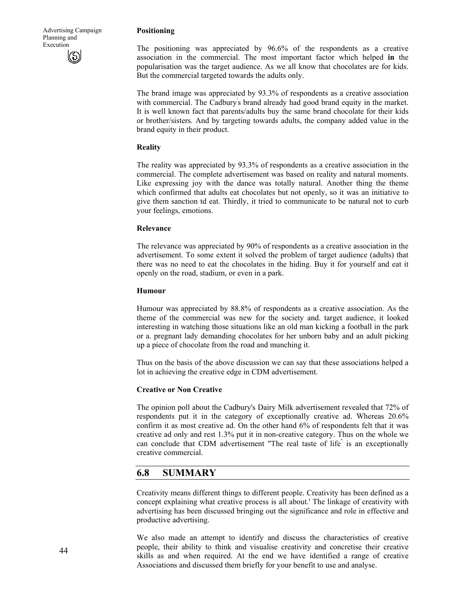#### **Positioning**

The positioning was appreciated by 96.6% of the respondents as a creative association in the commercial. The most important factor which helped **in** the popularisation was the target audience. As we all know that chocolates are for kids. But the commercial targeted towards the adults only.

The brand image was appreciated by 93.3% of respondents as a creative association with commercial. The Cadbury's brand already had good brand equity in the market. It is well known fact that parents/adults buy the same brand chocolate for their kids or brother/sisters. And by targeting towards adults, the company added value in the brand equity in their product.

#### **Reality**

The reality was appreciated by 93.3% of respondents as a creative association in the commercial. The complete advertisement was based on reality and natural moments. Like expressing joy with the dance was totally natural. Another thing the theme which confirmed that adults eat chocolates but not openly, so it was an initiative to give them sanction td eat. Thirdly, it tried to communicate to be natural not to curb your feelings, emotions.

#### **Relevance**

The relevance was appreciated by 90% of respondents as a creative association in the advertisement. To some extent it solved the problem of target audience (adults) that there was no need to eat the chocolates in the hiding. Buy it for yourself and eat it openly on the road, stadium, or even in a park.

#### **Humour**

Humour was appreciated by 88.8% of respondents as a creative association. As the theme of the commercial was new for the society and. target audience, it looked interesting in watching those situations like an old man kicking a football in the park or a. pregnant lady demanding chocolates for her unborn baby and an adult picking up a piece of chocolate from the road and munching it.

Thus on the basis of the above discussion we can say that these associations helped a lot in achieving the creative edge in CDM advertisement.

#### **Creative or Non Creative**

The opinion poll about the Cadbury's Dairy Milk advertisement revealed that 72% of respondents put it in the category of exceptionally creative ad. Whereas 20.6% confirm it as most creative ad. On the other hand 6% of respondents felt that it was creative ad only and rest 1.3% put it in non-creative category. Thus on the whole we can conclude that CDM advertisement "The real taste of life" is an exceptionally creative commercial.

# **6.8 SUMMARY**

Creativity means different things to different people. Creativity has been defined as a concept explaining what creative process is all about.' The linkage of creativity with advertising has been discussed bringing out the significance and role in effective and productive advertising.

We also made an attempt to identify and discuss the characteristics of creative people, their ability to think and visualise creativity and concretise their creative skills as and when required. At the end we have identified a range of creative Associations and discussed them briefly for your benefit to use and analyse.